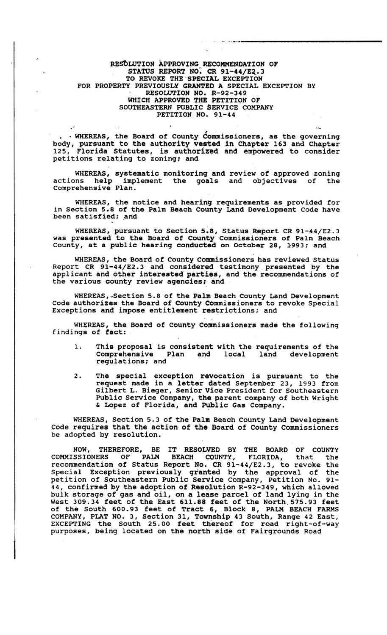## RESOLUTION APPROVING RECOMMENDATION OF STATUS REPORT NO. CR 91-44/E2.3 TO REVOKE THE 'SPECIAL EXCEPTION FOR PROPERTY PREVIOUSLY GRANTED A SPECIAL EXCEPTION BY RESOLUTION NO. R-92-349 WHICH APPROVED THE PETITION OF SOUTHEASTERN PUBLIC SERVICE COMPANY PETITION NO. 91-44

" .. '''-,,--,-----------

• . WHEREAS, the Board *ot* County Commissioners, as the governing body, pursuant to the authority vested in Chapter 163 and Chapter 125, Florida Statutes, is authorized and empowered to consider petitions relating to zoning; and

WHEREAS, systematic monitoring and review of approved zoning actions help implement the goals and objectives of the Comprehensive Plan.

WHEREAS, the notice and hearing requirements as provided for in Section 5.8 of the Palm Beach county Land Development Code have been satisfied; and

WHEREAS, pursuant to section 5:8, Status Report CR 91-44/E2.3 was presented to the Board of county Commissioners of Palm Beach County, at a public hearing conducted on October 28, 1993; and

WHEREAS, the Board of County Commissioners has reviewed Status Report CR 9l-44/E2. 3 and considered testimony , presented by the applicant and other interested parties, and the recommendations of the various county review agencies; and

WHEREAS, Section 5.8 of the Palm Beach County Land Development code authorizes the Board of County Commissioners to revoke Special Exceptions and impose entitlement restrictions; and

WHEREAS, the Board of county Commissioners made the following findings of fact:

- This proposal is consistent with the requirements of the  $\mathbf 1$ . Comprehensive Plan and land development regulations; and
- 2. The special exception revocation is pursuant to the request made in a letter dated September 23, 1993 from Gilbert L. Bieger, Senior Vice President for Southeastern Public Service Company, the parent company of both Wright & Lopez of Florida, and PUblic Gas Company.

WHEREAS, Section 5.3 of the Palm Beach County Land Development Code requires that the action of the Board of County Commissioners be adopted by resolution.

NOW, THEREFORE, BE IT RESOLVED BY THE BOARD OF COUNTY COMMISSIONERS OF PALM BEACH COUNTY, FLORIDA, that the recommendation of Status Report No. CR 91-44/E2.3, to revoke the Special Exception previously granted by the approval of the petition of Southeastern Public service Company, Petition No. 91- 44, confirmed by the adoption of Resolution R-92-349, which allowed bulk storage *ot* gas and oil, on a lease parcel *ot* land lying in the West 309.34 feet *ot* the East 611.88 teet *ot* the North . 575.93 feet of the South 600.93 feet of Tract 6, Block 8, PALM BEACH FARMS COMPANY, PLAT NO.3, section 31, Township 43 South, Range 42 East, EXCEPTING the South 25.00 feet thereof for road right-of-way purposes, being located on the north side of Fairgrounds Road